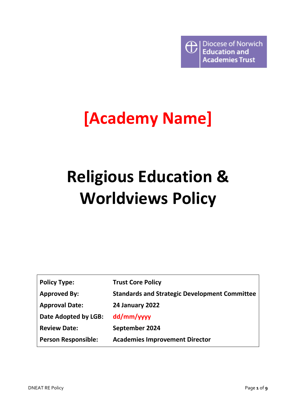

# **[Academy Name]**

# **Religious Education & Worldviews Policy**

| <b>Policy Type:</b>        | <b>Trust Core Policy</b>                             |
|----------------------------|------------------------------------------------------|
| <b>Approved By:</b>        | <b>Standards and Strategic Development Committee</b> |
| <b>Approval Date:</b>      | <b>24 January 2022</b>                               |
| Date Adopted by LGB:       | dd/mm/yyyy                                           |
| <b>Review Date:</b>        | September 2024                                       |
| <b>Person Responsible:</b> | <b>Academies Improvement Director</b>                |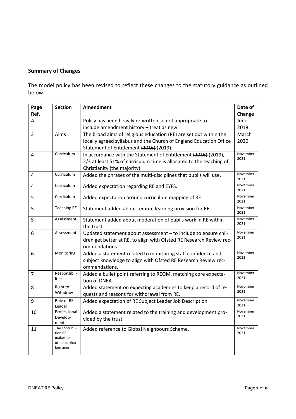# **Summary of Changes**

The model policy has been revised to reflect these changes to the statutory guidance as outlined below.

| Page           | <b>Section</b>       | <b>Amendment</b>                                                                     | Date of          |
|----------------|----------------------|--------------------------------------------------------------------------------------|------------------|
| Ref.           |                      |                                                                                      | Change           |
| All            |                      | Policy has been heavily re-written so not appropriate to                             | June             |
|                |                      | include amendment history - treat as new                                             | 2018             |
| 3              | Aims                 | The broad aims of religious education (RE) are set out within the                    | March            |
|                |                      | locally agreed syllabus and the Church of England Education Office                   | 2020             |
|                |                      | Statement of Entitlement (2016) (2019).                                              |                  |
| 4              | Curriculum           | In accordance with the Statement of Entitlement (2016) (2019),                       | November<br>2021 |
|                |                      | 2/3 at least 51% of curriculum time is allocated to the teaching of                  |                  |
|                |                      | Christianity (the majority)                                                          |                  |
| 4              | Curriculum           | Added the phrases of the multi-disciplines that pupils will use.                     | November<br>2021 |
| 4              | Curriculum           | Added expectation regarding RE and EYFS.                                             | November<br>2021 |
| 5              | Curriculum           | Added expectation around curriculum mapping of RE.                                   | November<br>2021 |
| 5              | <b>Teaching RE</b>   | Statement added about remote learning provision for RE                               | November<br>2021 |
| 5              | Assessment           | Statement added about moderation of pupils work in RE within<br>the trust.           | November<br>2021 |
| 6              | Assessment           | Updated statement about assessment - to include to ensure chil-                      | November         |
|                |                      | dren get better at RE, to align with Ofsted RE Research Review rec-<br>ommendations. | 2021             |
| 6              | Monitoring           | Added a statement related to monitoring staff confidence and                         | November         |
|                |                      | subject knowledge to align with Ofsted RE Research Review rec-                       | 2021             |
|                |                      | ommendations.                                                                        |                  |
| $\overline{7}$ | Responsibil-         | Added a bullet point referring to REQM, matching core expecta-                       | November<br>2021 |
|                | ities                | tion of DNEAT.                                                                       |                  |
| 8              | Right to<br>Withdraw | Added statement on expecting academies to keep a record of re-                       | November<br>2021 |
|                |                      | quests and reasons for withdrawal from RE.                                           |                  |
| 9              | Role of RE<br>Leader | Added expectation of RE Subject Leader Job Description.                              | November<br>2021 |
| 10             | Professional         | Added a statement related to the training and development pro-                       | November<br>2021 |
|                | Develop-<br>ment     | vided by the trust                                                                   |                  |
| 11             | The contribu-        | Added reference to Global Neighbours Scheme.                                         | November         |
|                | tion RE<br>makes to  |                                                                                      | 2021             |
|                | other curricu-       |                                                                                      |                  |
|                | lum aims             |                                                                                      |                  |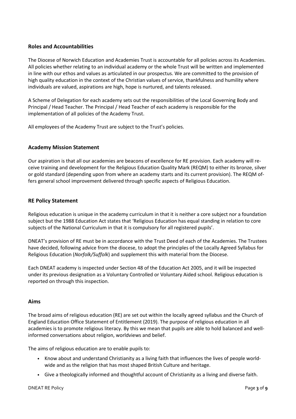# **Roles and Accountabilities**

The Diocese of Norwich Education and Academies Trust is accountable for all policies across its Academies. All policies whether relating to an individual academy or the whole Trust will be written and implemented in line with our ethos and values as articulated in our prospectus. We are committed to the provision of high quality education in the context of the Christian values of service, thankfulness and humility where individuals are valued, aspirations are high, hope is nurtured, and talents released.

A Scheme of Delegation for each academy sets out the responsibilities of the Local Governing Body and Principal / Head Teacher. The Principal / Head Teacher of each academy is responsible for the implementation of all policies of the Academy Trust.

All employees of the Academy Trust are subject to the Trust's policies.

# **Academy Mission Statement**

Our aspiration is that all our academies are beacons of excellence for RE provision. Each academy will receive training and development for the Religious Education Quality Mark (REQM) to either its bronze, silver or gold standard (depending upon from where an academy starts and its current provision). The REQM offers general school improvement delivered through specific aspects of Religious Education.

### **RE Policy Statement**

Religious education is unique in the academy curriculum in that it is neither a core subject nor a foundation subject but the 1988 Education Act states that 'Religious Education has equal standing in relation to core subjects of the National Curriculum in that it is compulsory for all registered pupils'.

DNEAT's provision of RE must be in accordance with the Trust Deed of each of the Academies. The Trustees have decided, following advice from the diocese, to adopt the principles of the Locally Agreed Syllabus for Religious Education (*Norfolk/Suffolk*) and supplement this with material from the Diocese.

Each DNEAT academy is inspected under Section 48 of the Education Act 2005, and it will be inspected under its previous designation as a Voluntary Controlled or Voluntary Aided school. Religious education is reported on through this inspection.

### **Aims**

The broad aims of religious education (RE) are set out within the locally agreed syllabus and the Church of England Education Office Statement of Entitlement (2019). The purpose of religious education in all academies is to promote religious literacy. By this we mean that pupils are able to hold balanced and wellinformed conversations about religion, worldviews and belief.

The aims of religious education are to enable pupils to:

- Know about and understand Christianity as a living faith that influences the lives of people worldwide and as the religion that has most shaped British Culture and heritage.
- Give a theologically informed and thoughtful account of Christianity as a living and diverse faith.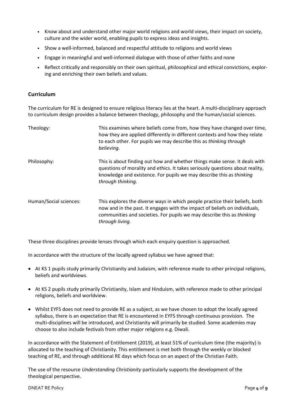- Know about and understand other major world religions and world views, their impact on society, culture and the wider world, enabling pupils to express ideas and insights.
- Show a well-informed, balanced and respectful attitude to religions and world views
- Engage in meaningful and well-informed dialogue with those of other faiths and none
- Reflect critically and responsibly on their own spiritual, philosophical and ethical convictions, exploring and enriching their own beliefs and values.

## **Curriculum**

The curriculum for RE is designed to ensure religious literacy lies at the heart. A multi-disciplinary approach to curriculum design provides a balance between theology, philosophy and the human/social sciences.

| Theology:              | This examines where beliefs come from, how they have changed over time,<br>how they are applied differently in different contexts and how they relate<br>to each other. For pupils we may describe this as thinking through<br>believing.                |
|------------------------|----------------------------------------------------------------------------------------------------------------------------------------------------------------------------------------------------------------------------------------------------------|
| Philosophy:            | This is about finding out how and whether things make sense. It deals with<br>questions of morality and ethics. It takes seriously questions about reality,<br>knowledge and existence. For pupils we may describe this as thinking<br>through thinking. |
| Human/Social sciences: | This explores the diverse ways in which people practice their beliefs, both<br>now and in the past. It engages with the impact of beliefs on individuals,<br>communities and societies. For pupils we may describe this as thinking<br>through living.   |

These three disciplines provide lenses through which each enquiry question is approached.

In accordance with the structure of the locally agreed syllabus we have agreed that:

- At KS 1 pupils study primarily Christianity and Judaism, with reference made to other principal religions, beliefs and worldviews.
- At KS 2 pupils study primarily Christianity, Islam and Hinduism, with reference made to other principal religions, beliefs and worldview.
- Whilst EYFS does not need to provide RE as a subject, as we have chosen to adopt the locally agreed syllabus, there is an expectation that RE is encountered in EYFS through continuous provision. The multi-disciplines will be introduced, and Christianity will primarily be studied. Some academies may choose to also include festivals from other major religions e.g. Diwali.

In accordance with the Statement of Entitlement (2019), at least 51% of curriculum time (the majority) is allocated to the teaching of Christianity. This entitlement is met both through the weekly or blocked teaching of RE, and through additional RE days which focus on an aspect of the Christian Faith.

The use of the resource *Understanding Christianity* particularly supports the development of the theological perspective.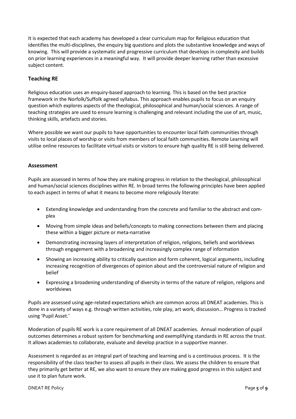It is expected that each academy has developed a clear curriculum map for Religious education that identifies the multi-disciplines, the enquiry big questions and plots the substantive knowledge and ways of knowing. This will provide a systematic and progressive curriculum that develops in complexity and builds on prior learning experiences in a meaningful way. It will provide deeper learning rather than excessive subject content.

# **Teaching RE**

Religious education uses an enquiry-based approach to learning. This is based on the best practice framework in the Norfolk/Suffolk agreed syllabus. This approach enables pupils to focus on an enquiry question which explores aspects of the theological, philosophical and human/social sciences. A range of teaching strategies are used to ensure learning is challenging and relevant including the use of art, music, thinking skills, artefacts and stories.

Where possible we want our pupils to have opportunities to encounter local faith communities through visits to local places of worship or visits from members of local faith communities. Remote Learning will utilise online resources to facilitate virtual visits or visitors to ensure high quality RE is still being delivered.

# **Assessment**

Pupils are assessed in terms of how they are making progress in relation to the theological, philosophical and human/social sciences disciplines within RE. In broad terms the following principles have been applied to each aspect in terms of what it means to become more religiously literate:

- Extending knowledge and understanding from the concrete and familiar to the abstract and complex
- Moving from simple ideas and beliefs/concepts to making connections between them and placing these within a bigger picture or meta-narrative
- Demonstrating increasing layers of interpretation of religion, religions, beliefs and worldviews through engagement with a broadening and increasingly complex range of information
- Showing an increasing ability to critically question and form coherent, logical arguments, including increasing recognition of divergences of opinion about and the controversial nature of religion and belief
- Expressing a broadening understanding of diversity in terms of the nature of religion, religions and worldviews

Pupils are assessed using age-related expectations which are common across all DNEAT academies. This is done in a variety of ways e.g. through written activities, role play, art work, discussion… Progress is tracked using 'Pupil Asset.'

Moderation of pupils RE work is a core requirement of all DNEAT academies. Annual moderation of pupil outcomes determines a robust system for benchmarking and exemplifying standards in RE across the trust. It allows academies to collaborate, evaluate and develop practice in a supportive manner.

Assessment is regarded as an integral part of teaching and learning and is a continuous process. It is the responsibility of the class teacher to assess all pupils in their class. We assess the children to ensure that they primarily get better at RE, we also want to ensure they are making good progress in this subject and use it to plan future work.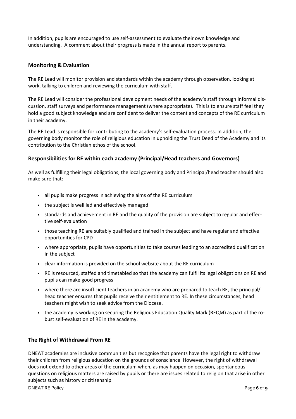In addition, pupils are encouraged to use self-assessment to evaluate their own knowledge and understanding. A comment about their progress is made in the annual report to parents.

# **Monitoring & Evaluation**

The RE Lead will monitor provision and standards within the academy through observation, looking at work, talking to children and reviewing the curriculum with staff.

The RE Lead will consider the professional development needs of the academy's staff through informal discussion, staff surveys and performance management (where appropriate). This is to ensure staff feel they hold a good subject knowledge and are confident to deliver the content and concepts of the RE curriculum in their academy.

The RE Lead is responsible for contributing to the academy's self-evaluation process. In addition, the governing body monitor the role of religious education in upholding the Trust Deed of the Academy and its contribution to the Christian ethos of the school.

# **Responsibilities for RE within each academy (Principal/Head teachers and Governors)**

As well as fulfilling their legal obligations, the local governing body and Principal/head teacher should also make sure that:

- all pupils make progress in achieving the aims of the RE curriculum
- the subject is well led and effectively managed
- standards and achievement in RE and the quality of the provision are subject to regular and effective self-evaluation
- those teaching RE are suitably qualified and trained in the subject and have regular and effective opportunities for CPD
- where appropriate, pupils have opportunities to take courses leading to an accredited qualification in the subject
- clear information is provided on the school website about the RE curriculum
- RE is resourced, staffed and timetabled so that the academy can fulfil its legal obligations on RE and pupils can make good progress
- where there are insufficient teachers in an academy who are prepared to teach RE, the principal/ head teacher ensures that pupils receive their entitlement to RE. In these circumstances, head teachers might wish to seek advice from the Diocese.
- the academy is working on securing the Religious Education Quality Mark (REQM) as part of the robust self-evaluation of RE in the academy.

# **The Right of Withdrawal From RE**

DNEAT academies are inclusive communities but recognise that parents have the legal right to withdraw their children from religious education on the grounds of conscience. However, the right of withdrawal does not extend to other areas of the curriculum when, as may happen on occasion, spontaneous questions on religious matters are raised by pupils or there are issues related to religion that arise in other subjects such as history or citizenship.

DNEAT RE Policy Page **6** of **9**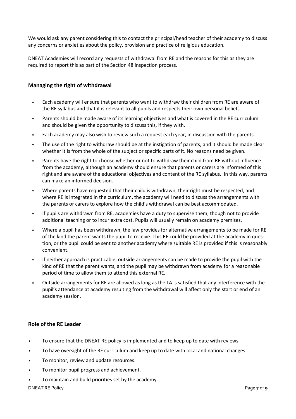We would ask any parent considering this to contact the principal/head teacher of their academy to discuss any concerns or anxieties about the policy, provision and practice of religious education.

DNEAT Academies will record any requests of withdrawal from RE and the reasons for this as they are required to report this as part of the Section 48 inspection process.

# **Managing the right of withdrawal**

- Each academy will ensure that parents who want to withdraw their children from RE are aware of the RE syllabus and that it is relevant to all pupils and respects their own personal beliefs.
- Parents should be made aware of its learning objectives and what is covered in the RE curriculum and should be given the opportunity to discuss this, if they wish.
- Each academy may also wish to review such a request each year, in discussion with the parents.
- The use of the right to withdraw should be at the instigation of parents, and it should be made clear whether it is from the whole of the subject or specific parts of it. No reasons need be given.
- Parents have the right to choose whether or not to withdraw their child from RE without influence from the academy, although an academy should ensure that parents or carers are informed of this right and are aware of the educational objectives and content of the RE syllabus. In this way, parents can make an informed decision.
- Where parents have requested that their child is withdrawn, their right must be respected, and where RE is integrated in the curriculum, the academy will need to discuss the arrangements with the parents or carers to explore how the child's withdrawal can be best accommodated.
- If pupils are withdrawn from RE, academies have a duty to supervise them, though not to provide additional teaching or to incur extra cost. Pupils will usually remain on academy premises.
- Where a pupil has been withdrawn, the law provides for alternative arrangements to be made for RE of the kind the parent wants the pupil to receive. This RE could be provided at the academy in question, or the pupil could be sent to another academy where suitable RE is provided if this is reasonably convenient.
- If neither approach is practicable, outside arrangements can be made to provide the pupil with the kind of RE that the parent wants, and the pupil may be withdrawn from academy for a reasonable period of time to allow them to attend this external RE.
- Outside arrangements for RE are allowed as long as the LA is satisfied that any interference with the pupil's attendance at academy resulting from the withdrawal will affect only the start or end of an academy session.

# **Role of the RE Leader**

- To ensure that the DNEAT RE policy is implemented and to keep up to date with reviews.
- To have oversight of the RE curriculum and keep up to date with local and national changes.
- To monitor, review and update resources.
- To monitor pupil progress and achievement.
- To maintain and build priorities set by the academy.

#### DNEAT RE Policy Page **7** of **9**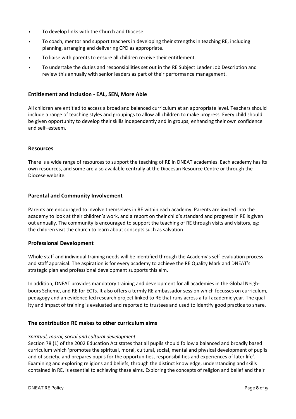- To develop links with the Church and Diocese.
- To coach, mentor and support teachers in developing their strengths in teaching RE, including planning, arranging and delivering CPD as appropriate.
- To liaise with parents to ensure all children receive their entitlement.
- To undertake the duties and responsibilities set out in the RE Subject Leader Job Description and review this annually with senior leaders as part of their performance management.

# **Entitlement and Inclusion - EAL, SEN, More Able**

All children are entitled to access a broad and balanced curriculum at an appropriate level. Teachers should include a range of teaching styles and groupings to allow all children to make progress. Every child should be given opportunity to develop their skills independently and in groups, enhancing their own confidence and self–esteem.

### **Resources**

There is a wide range of resources to support the teaching of RE in DNEAT academies. Each academy has its own resources, and some are also available centrally at the Diocesan Resource Centre or through the Diocese website.

# **Parental and Community Involvement**

Parents are encouraged to involve themselves in RE within each academy. Parents are invited into the academy to look at their children's work, and a report on their child's standard and progress in RE is given out annually. The community is encouraged to support the teaching of RE through visits and visitors, eg: the children visit the church to learn about concepts such as salvation

### **Professional Development**

Whole staff and individual training needs will be identified through the Academy's self-evaluation process and staff appraisal. The aspiration is for every academy to achieve the RE Quality Mark and DNEAT's strategic plan and professional development supports this aim.

In addition, DNEAT provides mandatory training and development for all academies in the Global Neighbours Scheme, and RE for ECTs. It also offers a termly RE ambassador session which focusses on curriculum, pedagogy and an evidence-led research project linked to RE that runs across a full academic year. The quality and impact of training is evaluated and reported to trustees and used to identify good practice to share.

# **The contribution RE makes to other curriculum aims**

### *Spiritual, moral, social and cultural development*

Section 78 (1) of the 2002 Education Act states that all pupils should follow a balanced and broadly based curriculum which 'promotes the spiritual, moral, cultural, social, mental and physical development of pupils and of society, and prepares pupils for the opportunities, responsibilities and experiences of later life'. Examining and exploring religions and beliefs, through the distinct knowledge, understanding and skills contained in RE, is essential to achieving these aims. Exploring the concepts of religion and belief and their